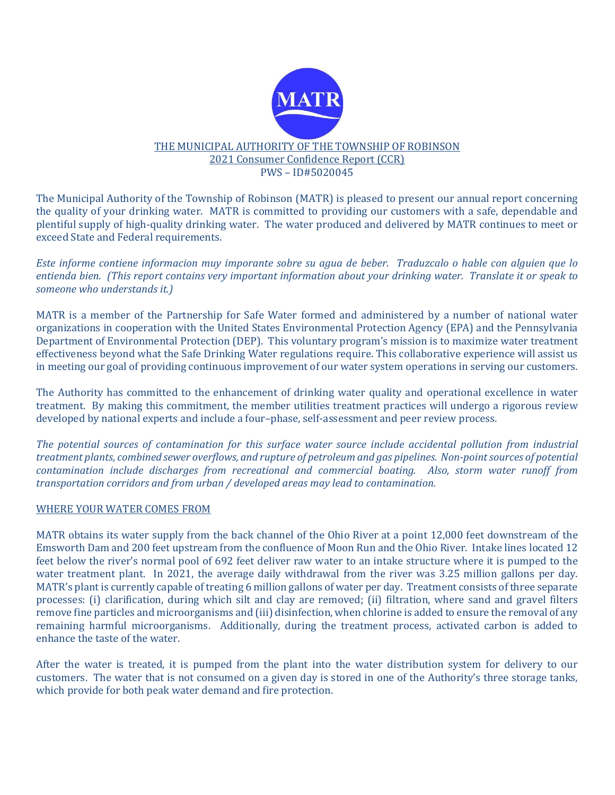

## THE MUNICIPAL AUTHORITY OF THE TOWNSHIP OF ROBINSON 2021 Consumer Confidence Report (CCR) PWS – ID#5020045

The Municipal Authority of the Township of Robinson (MATR) is pleased to present our annual report concerning the quality of your drinking water. MATR is committed to providing our customers with a safe, dependable and plentiful supply of high-quality drinking water. The water produced and delivered by MATR continues to meet or exceed State and Federal requirements.

Este informe contiene informacion muy imporante sobre su agua de beber. Traduzcalo o hable con alguien que lo entienda bien. (This report contains very important information about your drinking water. Translate it or speak to someone who understands it.)

MATR is a member of the Partnership for Safe Water formed and administered by a number of national water organizations in cooperation with the United States Environmental Protection Agency (EPA) and the Pennsylvania Department of Environmental Protection (DEP). This voluntary program's mission is to maximize water treatment effectiveness beyond what the Safe Drinking Water regulations require. This collaborative experience will assist us in meeting our goal of providing continuous improvement of our water system operations in serving our customers.

The Authority has committed to the enhancement of drinking water quality and operational excellence in water treatment. By making this commitment, the member utilities treatment practices will undergo a rigorous review developed by national experts and include a four–phase, self-assessment and peer review process.

The potential sources of contamination for this surface water source include accidental pollution from industrial treatment plants, combined sewer overflows, and rupture of petroleum and gas pipelines. Non-point sources of potential contamination include discharges from recreational and commercial boating. Also, storm water runoff from transportation corridors and from urban / developed areas may lead to contamination.

## WHERE YOUR WATER COMES FROM

MATR obtains its water supply from the back channel of the Ohio River at a point 12,000 feet downstream of the Emsworth Dam and 200 feet upstream from the confluence of Moon Run and the Ohio River. Intake lines located 12 feet below the river's normal pool of 692 feet deliver raw water to an intake structure where it is pumped to the water treatment plant. In 2021, the average daily withdrawal from the river was 3.25 million gallons per day. MATR's plant is currently capable of treating 6 million gallons of water per day. Treatment consists of three separate processes: (i) clarification, during which silt and clay are removed; (ii) filtration, where sand and gravel filters remove fine particles and microorganisms and (iii) disinfection, when chlorine is added to ensure the removal of any remaining harmful microorganisms. Additionally, during the treatment process, activated carbon is added to enhance the taste of the water.

After the water is treated, it is pumped from the plant into the water distribution system for delivery to our customers. The water that is not consumed on a given day is stored in one of the Authority's three storage tanks, which provide for both peak water demand and fire protection.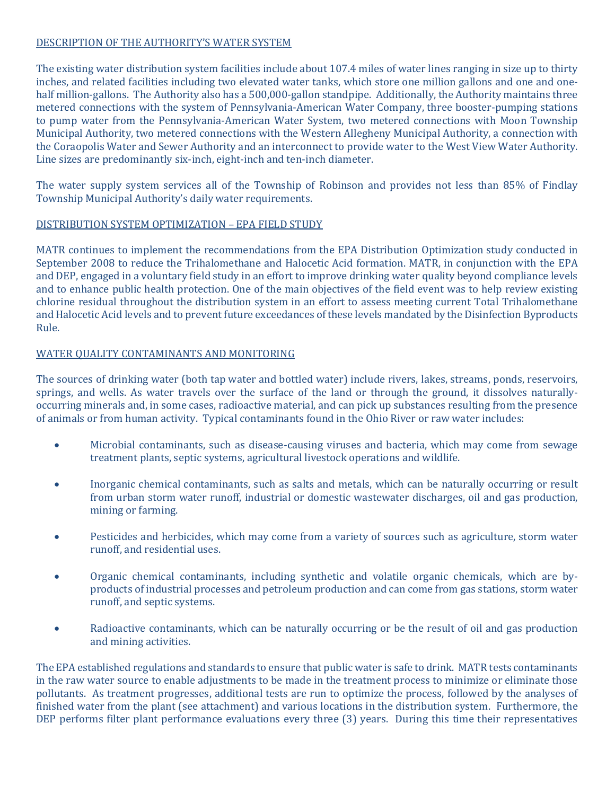# DESCRIPTION OF THE AUTHORITY'S WATER SYSTEM

The existing water distribution system facilities include about 107.4 miles of water lines ranging in size up to thirty inches, and related facilities including two elevated water tanks, which store one million gallons and one and onehalf million-gallons. The Authority also has a 500,000-gallon standpipe. Additionally, the Authority maintains three metered connections with the system of Pennsylvania-American Water Company, three booster-pumping stations to pump water from the Pennsylvania-American Water System, two metered connections with Moon Township Municipal Authority, two metered connections with the Western Allegheny Municipal Authority, a connection with the Coraopolis Water and Sewer Authority and an interconnect to provide water to the West View Water Authority. Line sizes are predominantly six-inch, eight-inch and ten-inch diameter.

The water supply system services all of the Township of Robinson and provides not less than 85% of Findlay Township Municipal Authority's daily water requirements.

## DISTRIBUTION SYSTEM OPTIMIZATION – EPA FIELD STUDY

MATR continues to implement the recommendations from the EPA Distribution Optimization study conducted in September 2008 to reduce the Trihalomethane and Halocetic Acid formation. MATR, in conjunction with the EPA and DEP, engaged in a voluntary field study in an effort to improve drinking water quality beyond compliance levels and to enhance public health protection. One of the main objectives of the field event was to help review existing chlorine residual throughout the distribution system in an effort to assess meeting current Total Trihalomethane and Halocetic Acid levels and to prevent future exceedances of these levels mandated by the Disinfection Byproducts Rule.

## WATER QUALITY CONTAMINANTS AND MONITORING

The sources of drinking water (both tap water and bottled water) include rivers, lakes, streams, ponds, reservoirs, springs, and wells. As water travels over the surface of the land or through the ground, it dissolves naturallyoccurring minerals and, in some cases, radioactive material, and can pick up substances resulting from the presence of animals or from human activity. Typical contaminants found in the Ohio River or raw water includes:

- Microbial contaminants, such as disease-causing viruses and bacteria, which may come from sewage treatment plants, septic systems, agricultural livestock operations and wildlife.
- Inorganic chemical contaminants, such as salts and metals, which can be naturally occurring or result from urban storm water runoff, industrial or domestic wastewater discharges, oil and gas production, mining or farming.
- Pesticides and herbicides, which may come from a variety of sources such as agriculture, storm water runoff, and residential uses.
- Organic chemical contaminants, including synthetic and volatile organic chemicals, which are byproducts of industrial processes and petroleum production and can come from gas stations, storm water runoff, and septic systems.
- Radioactive contaminants, which can be naturally occurring or be the result of oil and gas production and mining activities.

The EPA established regulations and standards to ensure that public water is safe to drink. MATR tests contaminants in the raw water source to enable adjustments to be made in the treatment process to minimize or eliminate those pollutants. As treatment progresses, additional tests are run to optimize the process, followed by the analyses of finished water from the plant (see attachment) and various locations in the distribution system. Furthermore, the DEP performs filter plant performance evaluations every three (3) years. During this time their representatives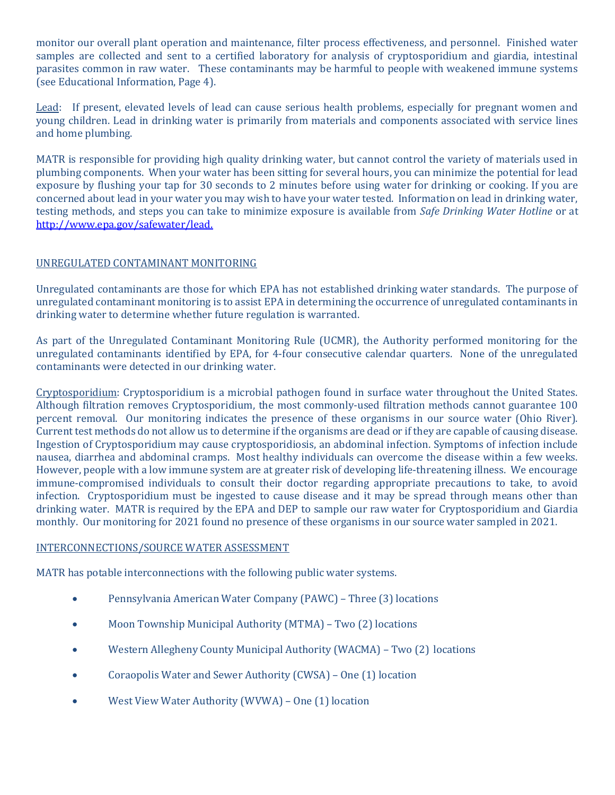monitor our overall plant operation and maintenance, filter process effectiveness, and personnel. Finished water samples are collected and sent to a certified laboratory for analysis of cryptosporidium and giardia, intestinal parasites common in raw water. These contaminants may be harmful to people with weakened immune systems (see Educational Information, Page 4).

Lead: If present, elevated levels of lead can cause serious health problems, especially for pregnant women and young children. Lead in drinking water is primarily from materials and components associated with service lines and home plumbing.

MATR is responsible for providing high quality drinking water, but cannot control the variety of materials used in plumbing components. When your water has been sitting for several hours, you can minimize the potential for lead exposure by flushing your tap for 30 seconds to 2 minutes before using water for drinking or cooking. If you are concerned about lead in your water you may wish to have your water tested. Information on lead in drinking water, testing methods, and steps you can take to minimize exposure is available from Safe Drinking Water Hotline or at http://www.epa.gov/safewater/lead.

## UNREGULATED CONTAMINANT MONITORING

Unregulated contaminants are those for which EPA has not established drinking water standards. The purpose of unregulated contaminant monitoring is to assist EPA in determining the occurrence of unregulated contaminants in drinking water to determine whether future regulation is warranted.

As part of the Unregulated Contaminant Monitoring Rule (UCMR), the Authority performed monitoring for the unregulated contaminants identified by EPA, for 4-four consecutive calendar quarters. None of the unregulated contaminants were detected in our drinking water.

Cryptosporidium: Cryptosporidium is a microbial pathogen found in surface water throughout the United States. Although filtration removes Cryptosporidium, the most commonly-used filtration methods cannot guarantee 100 percent removal. Our monitoring indicates the presence of these organisms in our source water (Ohio River). Current test methods do not allow us to determine if the organisms are dead or if they are capable of causing disease. Ingestion of Cryptosporidium may cause cryptosporidiosis, an abdominal infection. Symptoms of infection include nausea, diarrhea and abdominal cramps. Most healthy individuals can overcome the disease within a few weeks. However, people with a low immune system are at greater risk of developing life-threatening illness. We encourage immune-compromised individuals to consult their doctor regarding appropriate precautions to take, to avoid infection. Cryptosporidium must be ingested to cause disease and it may be spread through means other than drinking water. MATR is required by the EPA and DEP to sample our raw water for Cryptosporidium and Giardia monthly. Our monitoring for 2021 found no presence of these organisms in our source water sampled in 2021.

## INTERCONNECTIONS/SOURCE WATER ASSESSMENT

MATR has potable interconnections with the following public water systems.

- Pennsylvania American Water Company (PAWC) Three (3) locations
- Moon Township Municipal Authority (MTMA) Two (2) locations
- Western Allegheny County Municipal Authority (WACMA) Two (2) locations
- Coraopolis Water and Sewer Authority (CWSA) One (1) location
- West View Water Authority (WVWA) One (1) location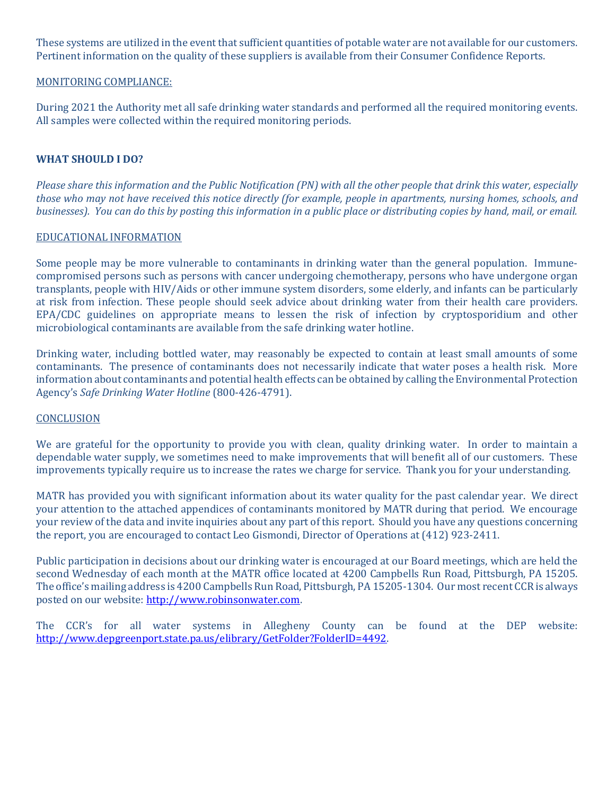These systems are utilized in the event that sufficient quantities of potable water are not available for our customers. Pertinent information on the quality of these suppliers is available from their Consumer Confidence Reports.

## MONITORING COMPLIANCE:

During 2021 the Authority met all safe drinking water standards and performed all the required monitoring events. All samples were collected within the required monitoring periods.

## WHAT SHOULD I DO?

Please share this information and the Public Notification (PN) with all the other people that drink this water, especially those who may not have received this notice directly (for example, people in apartments, nursing homes, schools, and businesses). You can do this by posting this information in a public place or distributing copies by hand, mail, or email.

#### EDUCATIONAL INFORMATION

Some people may be more vulnerable to contaminants in drinking water than the general population. Immunecompromised persons such as persons with cancer undergoing chemotherapy, persons who have undergone organ transplants, people with HIV/Aids or other immune system disorders, some elderly, and infants can be particularly at risk from infection. These people should seek advice about drinking water from their health care providers. EPA/CDC guidelines on appropriate means to lessen the risk of infection by cryptosporidium and other microbiological contaminants are available from the safe drinking water hotline.

Drinking water, including bottled water, may reasonably be expected to contain at least small amounts of some contaminants. The presence of contaminants does not necessarily indicate that water poses a health risk. More information about contaminants and potential health effects can be obtained by calling the Environmental Protection Agency's Safe Drinking Water Hotline (800-426-4791).

#### **CONCLUSION**

We are grateful for the opportunity to provide you with clean, quality drinking water. In order to maintain a dependable water supply, we sometimes need to make improvements that will benefit all of our customers. These improvements typically require us to increase the rates we charge for service. Thank you for your understanding.

MATR has provided you with significant information about its water quality for the past calendar year. We direct your attention to the attached appendices of contaminants monitored by MATR during that period. We encourage your review of the data and invite inquiries about any part of this report. Should you have any questions concerning the report, you are encouraged to contact Leo Gismondi, Director of Operations at (412) 923-2411.

Public participation in decisions about our drinking water is encouraged at our Board meetings, which are held the second Wednesday of each month at the MATR office located at 4200 Campbells Run Road, Pittsburgh, PA 15205. The office's mailing address is 4200 Campbells Run Road, Pittsburgh, PA 15205-1304. Our most recent CCR is always posted on our website: http://www.robinsonwater.com.

The CCR's for all water systems in Allegheny County can be found at the DEP website: http://www.depgreenport.state.pa.us/elibrary/GetFolder?FolderID=4492.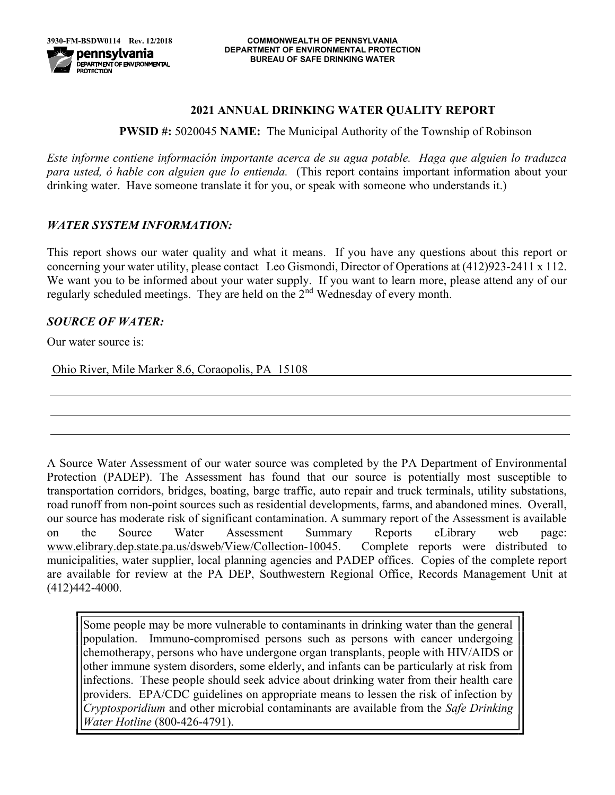# 2021 ANNUAL DRINKING WATER QUALITY REPORT

PWSID #: 5020045 NAME: The Municipal Authority of the Township of Robinson

Este informe contiene información importante acerca de su agua potable. Haga que alguien lo traduzca para usted, ó hable con alguien que lo entienda. (This report contains important information about your drinking water. Have someone translate it for you, or speak with someone who understands it.)

# WATER SYSTEM INFORMATION:

This report shows our water quality and what it means. If you have any questions about this report or concerning your water utility, please contact Leo Gismondi, Director of Operations at (412)923-2411 x 112. We want you to be informed about your water supply. If you want to learn more, please attend any of our regularly scheduled meetings. They are held on the  $2<sup>nd</sup>$  Wednesday of every month.

# SOURCE OF WATER:

Our water source is:

Ohio River, Mile Marker 8.6, Coraopolis, PA 15108

A Source Water Assessment of our water source was completed by the PA Department of Environmental Protection (PADEP). The Assessment has found that our source is potentially most susceptible to transportation corridors, bridges, boating, barge traffic, auto repair and truck terminals, utility substations, road runoff from non-point sources such as residential developments, farms, and abandoned mines. Overall, our source has moderate risk of significant contamination. A summary report of the Assessment is available on the Source Water Assessment Summary Reports eLibrary web page: www.elibrary.dep.state.pa.us/dsweb/View/Collection-10045. Complete reports were distributed to municipalities, water supplier, local planning agencies and PADEP offices. Copies of the complete report are available for review at the PA DEP, Southwestern Regional Office, Records Management Unit at (412)442-4000.

Some people may be more vulnerable to contaminants in drinking water than the general population. Immuno-compromised persons such as persons with cancer undergoing chemotherapy, persons who have undergone organ transplants, people with HIV/AIDS or other immune system disorders, some elderly, and infants can be particularly at risk from infections. These people should seek advice about drinking water from their health care providers. EPA/CDC guidelines on appropriate means to lessen the risk of infection by Cryptosporidium and other microbial contaminants are available from the Safe Drinking Water Hotline (800-426-4791).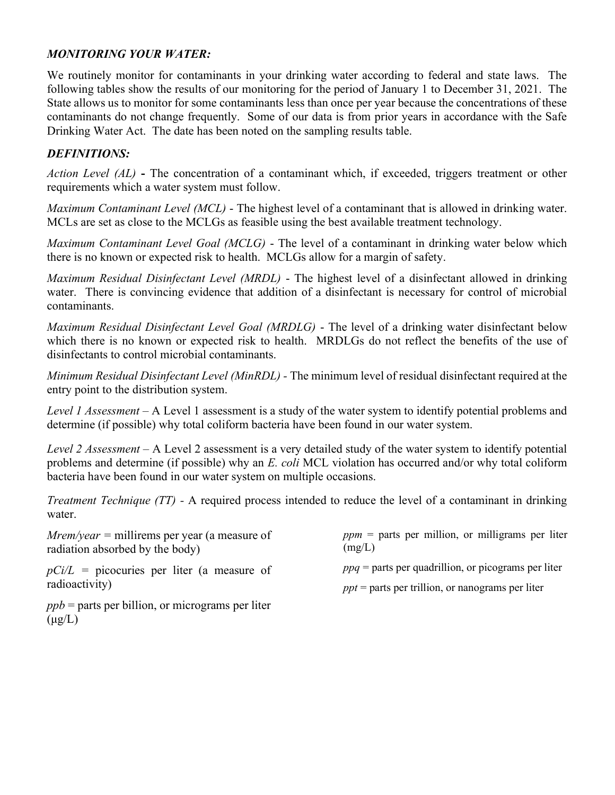# MONITORING YOUR WATER:

We routinely monitor for contaminants in your drinking water according to federal and state laws. The following tables show the results of our monitoring for the period of January 1 to December 31, 2021. The State allows us to monitor for some contaminants less than once per year because the concentrations of these contaminants do not change frequently. Some of our data is from prior years in accordance with the Safe Drinking Water Act. The date has been noted on the sampling results table.

# DEFINITIONS:

Action Level (AL) - The concentration of a contaminant which, if exceeded, triggers treatment or other requirements which a water system must follow.

Maximum Contaminant Level (MCL) - The highest level of a contaminant that is allowed in drinking water. MCLs are set as close to the MCLGs as feasible using the best available treatment technology.

Maximum Contaminant Level Goal (MCLG) - The level of a contaminant in drinking water below which there is no known or expected risk to health. MCLGs allow for a margin of safety.

Maximum Residual Disinfectant Level (MRDL) - The highest level of a disinfectant allowed in drinking water. There is convincing evidence that addition of a disinfectant is necessary for control of microbial contaminants.

Maximum Residual Disinfectant Level Goal (MRDLG) - The level of a drinking water disinfectant below which there is no known or expected risk to health. MRDLGs do not reflect the benefits of the use of disinfectants to control microbial contaminants.

Minimum Residual Disinfectant Level (MinRDL) - The minimum level of residual disinfectant required at the entry point to the distribution system.

Level 1 Assessment - A Level 1 assessment is a study of the water system to identify potential problems and determine (if possible) why total coliform bacteria have been found in our water system.

Level 2 Assessment – A Level 2 assessment is a very detailed study of the water system to identify potential problems and determine (if possible) why an E. coli MCL violation has occurred and/or why total coliform bacteria have been found in our water system on multiple occasions.

Treatment Technique (TT) - A required process intended to reduce the level of a contaminant in drinking water.

 $Mrem/year = millirems per year (a measure of)$ radiation absorbed by the body)  $ppm$  = parts per million, or milligrams per liter  $(mg/L)$ 

 $pCi/L$  = picocuries per liter (a measure of radioactivity)

 $ppq$  = parts per quadrillion, or picograms per liter

 $ppt = parts per trillion, or nanograms per liter$ 

 $ppb$  = parts per billion, or micrograms per liter  $(\mu g/L)$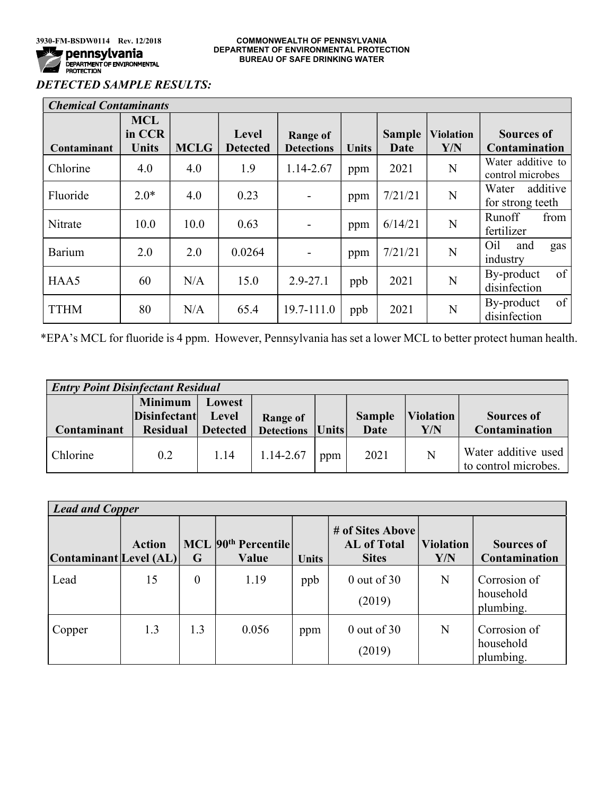# DETECTED SAMPLE RESULTS:

| <b>Chemical Contaminants</b> |                                      |             |                          |                                      |              |                              |                         |                                           |
|------------------------------|--------------------------------------|-------------|--------------------------|--------------------------------------|--------------|------------------------------|-------------------------|-------------------------------------------|
| Contaminant                  | <b>MCL</b><br>in CCR<br><b>Units</b> | <b>MCLG</b> | Level<br><b>Detected</b> | <b>Range of</b><br><b>Detections</b> | <b>Units</b> | <b>Sample</b><br><b>Date</b> | <b>Violation</b><br>Y/N | <b>Sources of</b><br><b>Contamination</b> |
| Chlorine                     | 4.0                                  | 4.0         | 1.9                      | 1.14-2.67                            | ppm          | 2021                         | N                       | Water additive to<br>control microbes     |
| Fluoride                     | $2.0*$                               | 4.0         | 0.23                     |                                      | ppm          | 7/21/21                      | N                       | additive<br>Water<br>for strong teeth     |
| Nitrate                      | 10.0                                 | 10.0        | 0.63                     |                                      | ppm          | 6/14/21                      | N                       | Runoff<br>from<br>fertilizer              |
| Barium                       | 2.0                                  | 2.0         | 0.0264                   |                                      | ppm          | 7/21/21                      | N                       | Oil<br>and<br>gas<br>industry             |
| HAA5                         | 60                                   | N/A         | 15.0                     | $2.9 - 27.1$                         | ppb          | 2021                         | N                       | of<br>By-product<br>disinfection          |
| <b>TTHM</b>                  | 80                                   | N/A         | 65.4                     | 19.7-111.0                           | ppb          | 2021                         | N                       | of<br>By-product<br>disinfection          |

\*EPA's MCL for fluoride is 4 ppm. However, Pennsylvania has set a lower MCL to better protect human health.

| <b>Entry Point Disinfectant Residual</b> |                                       |                 |                    |     |               |                  |                                             |  |
|------------------------------------------|---------------------------------------|-----------------|--------------------|-----|---------------|------------------|---------------------------------------------|--|
|                                          | <b>Minimum</b><br><b>Disinfectant</b> | Lowest<br>Level | Range of           |     | <b>Sample</b> | <b>Violation</b> | <b>Sources of</b>                           |  |
| <b>Contaminant</b>                       | <b>Residual</b>                       | <b>Detected</b> | Detections   Units |     | Date          | ${\bf Y/N}$      | Contamination                               |  |
| Chlorine                                 | 0.2                                   | 1.14            | 1.14-2.67          | ppm | 2021          | N                | Water additive used<br>to control microbes. |  |

| <b>Lead and Copper</b> |               |          |                                          |              |                                                        |                         |                                           |  |
|------------------------|---------------|----------|------------------------------------------|--------------|--------------------------------------------------------|-------------------------|-------------------------------------------|--|
| Contaminant Level (AL) | <b>Action</b> | G        | MCL 90 <sup>th</sup> Percentile<br>Value | <b>Units</b> | # of Sites Above<br><b>AL</b> of Total<br><b>Sites</b> | <b>Violation</b><br>Y/N | <b>Sources of</b><br><b>Contamination</b> |  |
| Lead                   | 15            | $\theta$ | 1.19                                     | ppb          | $0$ out of 30<br>(2019)                                | N                       | Corrosion of<br>household<br>plumbing.    |  |
| Copper                 | 1.3           | 1.3      | 0.056                                    | ppm          | $0$ out of 30<br>(2019)                                | N                       | Corrosion of<br>household<br>plumbing.    |  |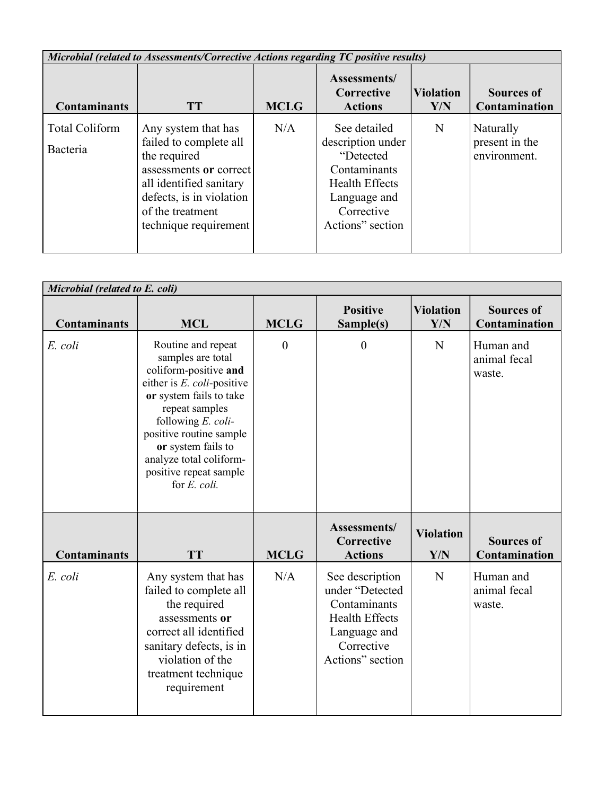| Microbial (related to Assessments/Corrective Actions regarding TC positive results) |                                                                                                                                                                                             |             |                                                                                                                                           |                         |                                             |  |  |  |
|-------------------------------------------------------------------------------------|---------------------------------------------------------------------------------------------------------------------------------------------------------------------------------------------|-------------|-------------------------------------------------------------------------------------------------------------------------------------------|-------------------------|---------------------------------------------|--|--|--|
| <b>Contaminants</b>                                                                 | <b>TT</b>                                                                                                                                                                                   | <b>MCLG</b> | Assessments/<br>Corrective<br><b>Actions</b>                                                                                              | <b>Violation</b><br>Y/N | <b>Sources of</b><br>Contamination          |  |  |  |
| <b>Total Coliform</b><br>Bacteria                                                   | Any system that has<br>failed to complete all<br>the required<br>assessments or correct<br>all identified sanitary<br>defects, is in violation<br>of the treatment<br>technique requirement | N/A         | See detailed<br>description under<br>"Detected<br>Contaminants<br><b>Health Effects</b><br>Language and<br>Corrective<br>Actions" section | N                       | Naturally<br>present in the<br>environment. |  |  |  |

| Microbial (related to E. coli) |                                                                                                                                                                                                                                                                                                |                |                                                                                                                               |                         |                                     |  |  |  |
|--------------------------------|------------------------------------------------------------------------------------------------------------------------------------------------------------------------------------------------------------------------------------------------------------------------------------------------|----------------|-------------------------------------------------------------------------------------------------------------------------------|-------------------------|-------------------------------------|--|--|--|
| <b>Contaminants</b>            | <b>MCL</b>                                                                                                                                                                                                                                                                                     | <b>MCLG</b>    | <b>Positive</b><br>Sample(s)                                                                                                  | <b>Violation</b><br>Y/N | <b>Sources of</b><br>Contamination  |  |  |  |
| E. coli                        | Routine and repeat<br>samples are total<br>coliform-positive and<br>either is $E.$ coli-positive<br>or system fails to take<br>repeat samples<br>following $E.$ coli-<br>positive routine sample<br>or system fails to<br>analyze total coliform-<br>positive repeat sample<br>for $E$ . coli. | $\overline{0}$ | $\boldsymbol{0}$                                                                                                              | N                       | Human and<br>animal fecal<br>waste. |  |  |  |
| <b>Contaminants</b>            | <b>TT</b>                                                                                                                                                                                                                                                                                      | <b>MCLG</b>    | Assessments/<br>Corrective<br><b>Actions</b>                                                                                  | <b>Violation</b><br>Y/N | <b>Sources of</b><br>Contamination  |  |  |  |
| E. coli                        | Any system that has<br>failed to complete all<br>the required<br>assessments or<br>correct all identified<br>sanitary defects, is in<br>violation of the<br>treatment technique<br>requirement                                                                                                 | N/A            | See description<br>under "Detected<br>Contaminants<br><b>Health Effects</b><br>Language and<br>Corrective<br>Actions" section | N                       | Human and<br>animal fecal<br>waste. |  |  |  |